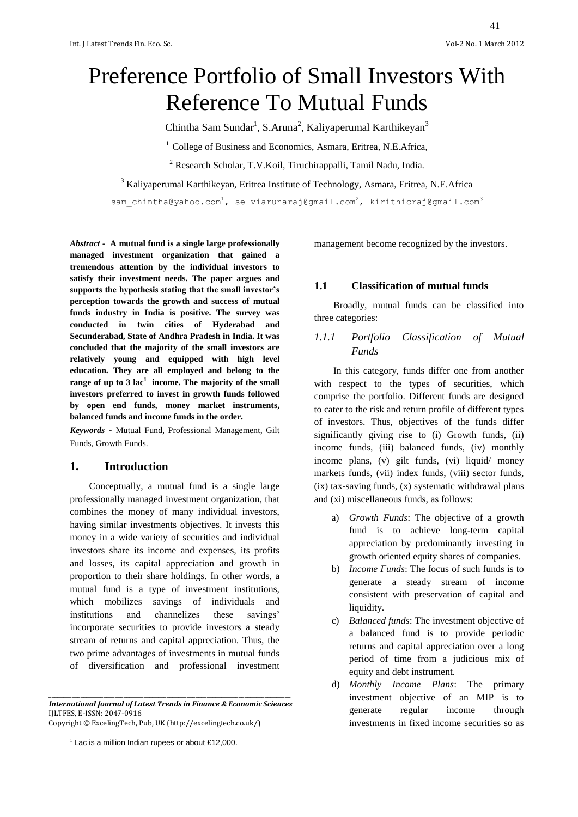# Preference Portfolio of Small Investors With Reference To Mutual Funds

Chintha Sam Sundar<sup>1</sup>, S.Aruna<sup>2</sup>, Kaliyaperumal Karthikeyan<sup>3</sup>

 $1$  College of Business and Economics, Asmara, Eritrea, N.E.Africa,

<sup>2</sup> Research Scholar, T.V.Koil, Tiruchirappalli, Tamil Nadu, India.

<sup>3</sup> Kaliyaperumal Karthikeyan, Eritrea Institute of Technology, Asmara, Eritrea, N.E.Africa

sam chintha@yahoo.com<sup>1</sup>, selviarunaraj@gmail.com<sup>2</sup>, kirithicraj@gmail.com<sup>3</sup>

*Abstract -* **A mutual fund is a single large professionally managed investment organization that gained a tremendous attention by the individual investors to satisfy their investment needs. The paper argues and supports the hypothesis stating that the small investor's perception towards the growth and success of mutual funds industry in India is positive. The survey was conducted in twin cities of Hyderabad and Secunderabad, State of Andhra Pradesh in India. It was concluded that the majority of the small investors are relatively young and equipped with high level education. They are all employed and belong to the range of up to 3 lac<sup>1</sup> income. The majority of the small investors preferred to invest in growth funds followed by open end funds, money market instruments, balanced funds and income funds in the order.**

*Keywords* - Mutual Fund, Professional Management, Gilt Funds, Growth Funds.

#### **1. Introduction**

Conceptually, a mutual fund is a single large professionally managed investment organization, that combines the money of many individual investors, having similar investments objectives. It invests this money in a wide variety of securities and individual investors share its income and expenses, its profits and losses, its capital appreciation and growth in proportion to their share holdings. In other words, a mutual fund is a type of investment institutions, which mobilizes savings of individuals and institutions and channelizes these savings' incorporate securities to provide investors a steady stream of returns and capital appreciation. Thus, the two prime advantages of investments in mutual funds of diversification and professional investment

\_\_\_\_\_\_\_\_\_\_\_\_\_\_\_\_\_\_\_\_\_\_\_\_\_\_\_\_\_\_\_\_\_\_\_\_\_\_\_\_\_\_\_\_\_\_\_\_\_\_\_\_\_\_\_\_\_\_\_\_\_\_\_\_\_\_\_\_\_\_\_\_\_\_\_\_\_\_\_\_\_\_\_\_ *International Journal of Latest Trends in Finance & Economic Sciences* IJLTFES, E-ISSN: 2047-0916 Copyright © ExcelingTech, Pub, UK [\(http://excelingtech.co.uk/\)](http://excelingtech.co.uk/)

 $\overline{a}$  $1$  Lac is a million Indian rupees or about £12,000. management become recognized by the investors.

#### **1.1 Classification of mutual funds**

Broadly, mutual funds can be classified into three categories:

### *1.1.1 Portfolio Classification of Mutual Funds*

In this category, funds differ one from another with respect to the types of securities, which comprise the portfolio. Different funds are designed to cater to the risk and return profile of different types of investors. Thus, objectives of the funds differ significantly giving rise to (i) Growth funds, (ii) income funds, (iii) balanced funds, (iv) monthly income plans, (v) gilt funds, (vi) liquid/ money markets funds, (vii) index funds, (viii) sector funds, (ix) tax-saving funds, (x) systematic withdrawal plans and (xi) miscellaneous funds, as follows:

- a) *Growth Funds*: The objective of a growth fund is to achieve long-term capital appreciation by predominantly investing in growth oriented equity shares of companies.
- b) *Income Funds*: The focus of such funds is to generate a steady stream of income consistent with preservation of capital and liquidity.
- c) *Balanced funds*: The investment objective of a balanced fund is to provide periodic returns and capital appreciation over a long period of time from a judicious mix of equity and debt instrument.
- d) *Monthly Income Plans*: The primary investment objective of an MIP is to generate regular income through investments in fixed income securities so as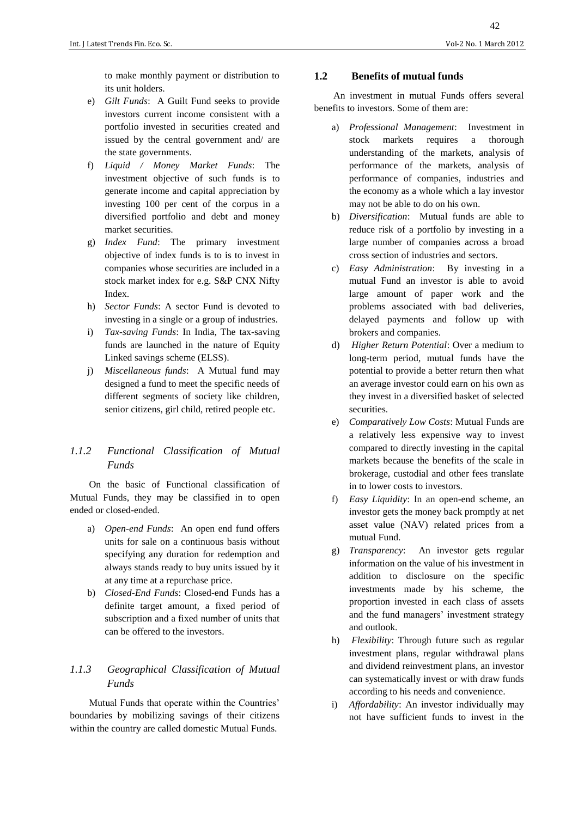to make monthly payment or distribution to its unit holders.

- e) *Gilt Funds*: A Guilt Fund seeks to provide investors current income consistent with a portfolio invested in securities created and issued by the central government and/ are the state governments.
- f) *Liquid / Money Market Funds*: The investment objective of such funds is to generate income and capital appreciation by investing 100 per cent of the corpus in a diversified portfolio and debt and money market securities.
- g) *Index Fund*: The primary investment objective of index funds is to is to invest in companies whose securities are included in a stock market index for e.g. S&P CNX Nifty Index.
- h) *Sector Funds*: A sector Fund is devoted to investing in a single or a group of industries.
- i) *Tax-saving Funds*: In India, The tax-saving funds are launched in the nature of Equity Linked savings scheme (ELSS).
- j) *Miscellaneous funds*: A Mutual fund may designed a fund to meet the specific needs of different segments of society like children, senior citizens, girl child, retired people etc.

## *1.1.2 Functional Classification of Mutual Funds*

On the basic of Functional classification of Mutual Funds, they may be classified in to open ended or closed-ended.

- a) *Open-end Funds*: An open end fund offers units for sale on a continuous basis without specifying any duration for redemption and always stands ready to buy units issued by it at any time at a repurchase price.
- b) *Closed-End Funds*: Closed-end Funds has a definite target amount, a fixed period of subscription and a fixed number of units that can be offered to the investors.

## *1.1.3 Geographical Classification of Mutual Funds*

Mutual Funds that operate within the Countries' boundaries by mobilizing savings of their citizens within the country are called domestic Mutual Funds.

## **1.2 Benefits of mutual funds**

An investment in mutual Funds offers several benefits to investors. Some of them are:

- a) *Professional Management*: Investment in stock markets requires a thorough understanding of the markets, analysis of performance of the markets, analysis of performance of companies, industries and the economy as a whole which a lay investor may not be able to do on his own.
- b) *Diversification*: Mutual funds are able to reduce risk of a portfolio by investing in a large number of companies across a broad cross section of industries and sectors.
- c) *Easy Administration*: By investing in a mutual Fund an investor is able to avoid large amount of paper work and the problems associated with bad deliveries, delayed payments and follow up with brokers and companies.
- d) *Higher Return Potential*: Over a medium to long-term period, mutual funds have the potential to provide a better return then what an average investor could earn on his own as they invest in a diversified basket of selected securities.
- e) *Comparatively Low Costs*: Mutual Funds are a relatively less expensive way to invest compared to directly investing in the capital markets because the benefits of the scale in brokerage, custodial and other fees translate in to lower costs to investors*.*
- f) *Easy Liquidity*: In an open-end scheme, an investor gets the money back promptly at net asset value (NAV) related prices from a mutual Fund.
- g) *Transparency*: An investor gets regular information on the value of his investment in addition to disclosure on the specific investments made by his scheme, the proportion invested in each class of assets and the fund managers' investment strategy and outlook.
- h) *Flexibility*: Through future such as regular investment plans, regular withdrawal plans and dividend reinvestment plans, an investor can systematically invest or with draw funds according to his needs and convenience.
- i) *Affordability*: An investor individually may not have sufficient funds to invest in the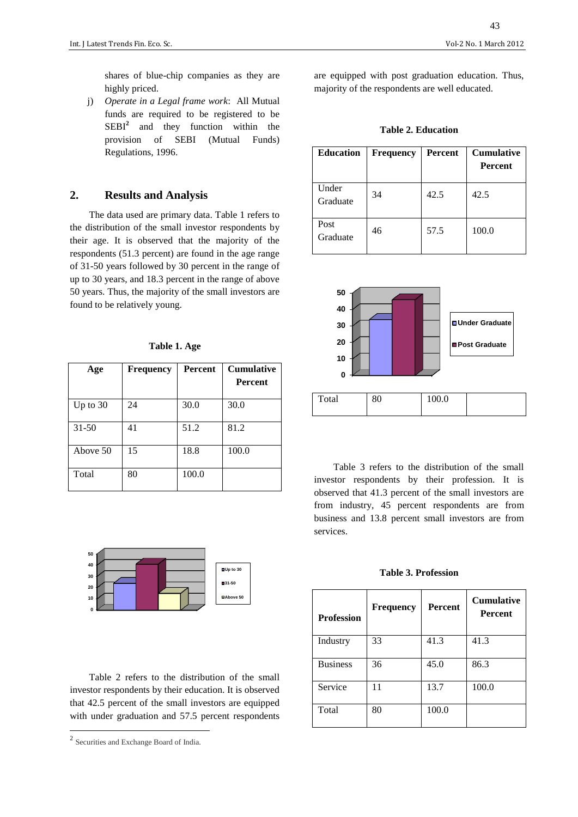shares of blue-chip companies as they are highly priced.

j) *Operate in a Legal frame work*: All Mutual funds are required to be registered to be SEBI<sup>2</sup> and they function within the provision of SEBI (Mutual Funds) Regulations, 1996.

#### **2. Results and Analysis**

The data used are primary data. Table 1 refers to the distribution of the small investor respondents by their age. It is observed that the majority of the respondents (51.3 percent) are found in the age range of 31-50 years followed by 30 percent in the range of up to 30 years, and 18.3 percent in the range of above 50 years. Thus, the majority of the small investors are found to be relatively young.

#### **Table 1. Age**

| Age        | <b>Frequency</b> | <b>Percent</b> | <b>Cumulative</b> |
|------------|------------------|----------------|-------------------|
|            |                  |                | <b>Percent</b>    |
| Up to $30$ | 24               | 30.0           | 30.0              |
| $31 - 50$  | 41               | 51.2           | 81.2              |
| Above 50   | 15               | 18.8           | 100.0             |
| Total      | 80               | 100.0          |                   |



Table 2 refers to the distribution of the small investor respondents by their education. It is observed that 42.5 percent of the small investors are equipped with under graduation and 57.5 percent respondents are equipped with post graduation education. Thus, majority of the respondents are well educated.

**Table 2. Education**

| <b>Education</b>  | Frequency | <b>Percent</b> | <b>Cumulative</b><br>Percent |
|-------------------|-----------|----------------|------------------------------|
| Under<br>Graduate | 34        | 42.5           | 42.5                         |
| Post<br>Graduate  | 46        | 57.5           | 100.0                        |



Table 3 refers to the distribution of the small investor respondents by their profession. It is observed that 41.3 percent of the small investors are from industry, 45 percent respondents are from business and 13.8 percent small investors are from services.

#### **Table 3. Profession**

| <b>Profession</b> | <b>Frequency</b> | <b>Percent</b> | <b>Cumulative</b><br><b>Percent</b> |
|-------------------|------------------|----------------|-------------------------------------|
| Industry          | 33               | 41.3           | 41.3                                |
| <b>Business</b>   | 36               | 45.0           | 86.3                                |
| Service           | 11               | 13.7           | 100.0                               |
| Total             | 80               | 100.0          |                                     |

 2 Securities and Exchange Board of India.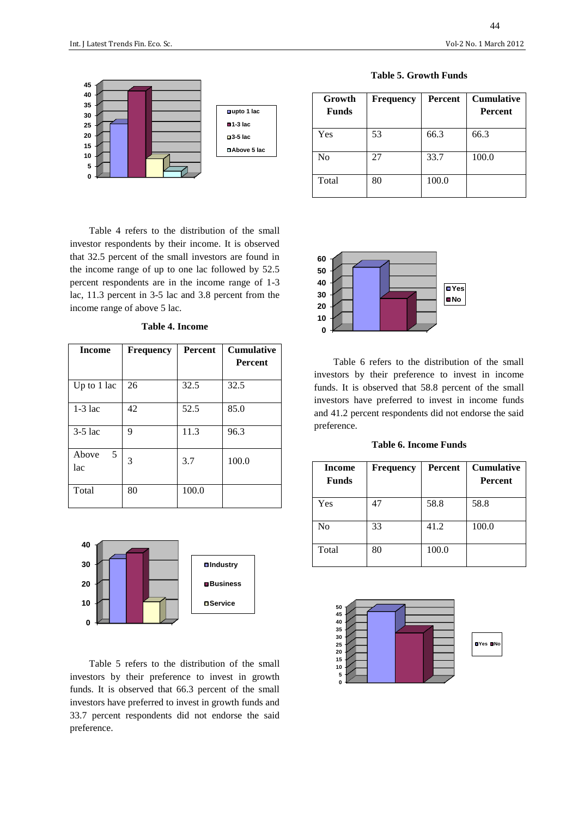

Table 4 refers to the distribution of the small investor respondents by their income. It is observed that 32.5 percent of the small investors are found in the income range of up to one lac followed by 52.5 percent respondents are in the income range of 1-3 lac, 11.3 percent in 3-5 lac and 3.8 percent from the income range of above 5 lac.

|  | <b>Table 4. Income</b> |
|--|------------------------|
|  |                        |

| <b>Income</b>     | <b>Frequency</b> | <b>Percent</b> | <b>Cumulative</b><br><b>Percent</b> |
|-------------------|------------------|----------------|-------------------------------------|
|                   |                  |                |                                     |
| Up to $1$ lac     | 26               | 32.5           | 32.5                                |
| $1-3$ lac         | 42               | 52.5           | 85.0                                |
| $3-5$ lac         | 9                | 11.3           | 96.3                                |
| Above<br>5<br>lac | 3                | 3.7            | 100.0                               |
| Total             | 80               | 100.0          |                                     |



Table 5 refers to the distribution of the small investors by their preference to invest in growth funds. It is observed that 66.3 percent of the small investors have preferred to invest in growth funds and 33.7 percent respondents did not endorse the said preference.

| Growth<br><b>Funds</b> | <b>Frequency</b> | <b>Percent</b> | <b>Cumulative</b><br><b>Percent</b> |
|------------------------|------------------|----------------|-------------------------------------|
| Yes                    | 53               | 66.3           | 66.3                                |
| N <sub>0</sub>         | 27               | 33.7           | 100.0                               |
| Total                  | 80               | 100.0          |                                     |





Table 6 refers to the distribution of the small investors by their preference to invest in income funds. It is observed that 58.8 percent of the small investors have preferred to invest in income funds and 41.2 percent respondents did not endorse the said preference.

**Table 6. Income Funds**

| <b>Income</b><br><b>Funds</b> | <b>Frequency</b> | Percent | <b>Cumulative</b><br><b>Percent</b> |
|-------------------------------|------------------|---------|-------------------------------------|
| Yes                           | 47               | 58.8    | 58.8                                |
| No                            | 33               | 41.2    | 100.0                               |
| Total                         | 80               | 100.0   |                                     |

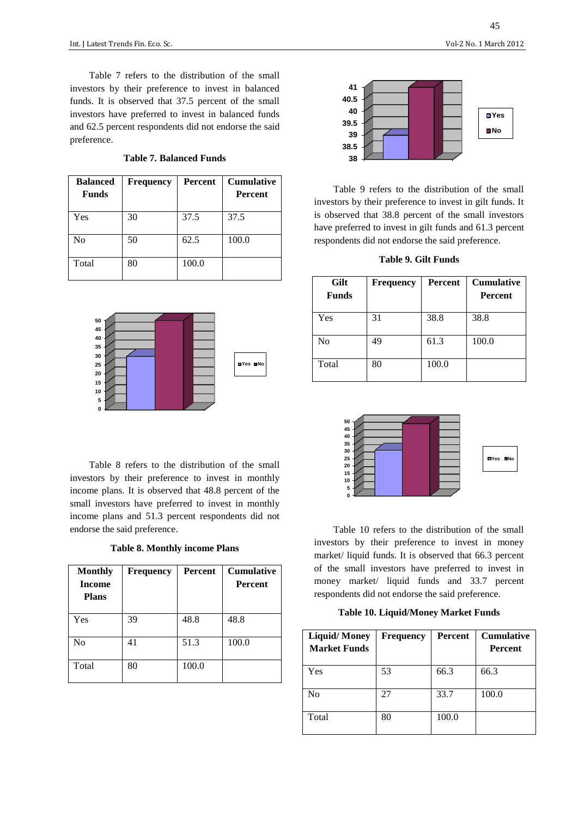Table 7 refers to the distribution of the small investors by their preference to invest in balanced funds. It is observed that 37.5 percent of the small investors have preferred to invest in balanced funds and 62.5 percent respondents did not endorse the said preference.

|  | <b>Table 7. Balanced Funds</b> |  |
|--|--------------------------------|--|
|--|--------------------------------|--|

| <b>Balanced</b><br><b>Funds</b> | <b>Frequency</b> | <b>Percent</b> | <b>Cumulative</b><br><b>Percent</b> |
|---------------------------------|------------------|----------------|-------------------------------------|
| Yes                             | 30               | 37.5           | 37.5                                |
| N <sub>0</sub>                  | 50               | 62.5           | 100.0                               |
| Total                           | 80               | 100.0          |                                     |



Table 8 refers to the distribution of the small investors by their preference to invest in monthly income plans. It is observed that 48.8 percent of the small investors have preferred to invest in monthly income plans and 51.3 percent respondents did not endorse the said preference.

**Table 8. Monthly income Plans**

| <b>Monthly</b><br><b>Income</b><br><b>Plans</b> | <b>Frequency</b> | <b>Percent</b> | <b>Cumulative</b><br><b>Percent</b> |
|-------------------------------------------------|------------------|----------------|-------------------------------------|
| Yes                                             | 39               | 48.8           | 48.8                                |
| N <sub>o</sub>                                  | 41               | 51.3           | 100.0                               |
| Total                                           | 80               | 100.0          |                                     |



Table 9 refers to the distribution of the small investors by their preference to invest in gilt funds. It is observed that 38.8 percent of the small investors have preferred to invest in gilt funds and 61.3 percent respondents did not endorse the said preference.

| Table 9. Gilt Funds |  |  |
|---------------------|--|--|
|---------------------|--|--|

| Gilt<br><b>Funds</b> | Frequency | <b>Percent</b> | <b>Cumulative</b><br>Percent |
|----------------------|-----------|----------------|------------------------------|
| Yes                  | 31        | 38.8           | 38.8                         |
| No                   | 49        | 61.3           | 100.0                        |
| Total                | 80        | 100.0          |                              |



Table 10 refers to the distribution of the small investors by their preference to invest in money market/ liquid funds. It is observed that 66.3 percent of the small investors have preferred to invest in money market/ liquid funds and 33.7 percent respondents did not endorse the said preference.

**Table 10. Liquid/Money Market Funds**

| <b>Liquid/Money</b><br><b>Market Funds</b> | <b>Frequency</b> | <b>Percent</b> | <b>Cumulative</b><br>Percent |
|--------------------------------------------|------------------|----------------|------------------------------|
| Yes                                        | 53               | 66.3           | 66.3                         |
| No                                         | 27               | 33.7           | 100.0                        |
| Total                                      | 80               | 100.0          |                              |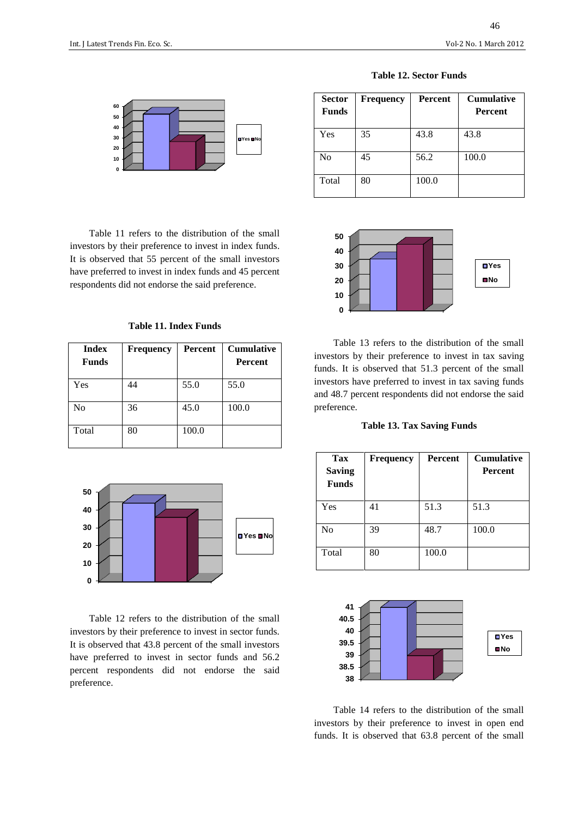46



Table 11 refers to the distribution of the small investors by their preference to invest in index funds. It is observed that 55 percent of the small investors have preferred to invest in index funds and 45 percent respondents did not endorse the said preference.

**Table 11. Index Funds**

| <b>Index</b><br><b>Funds</b> | <b>Frequency</b> | Percent | <b>Cumulative</b><br><b>Percent</b> |
|------------------------------|------------------|---------|-------------------------------------|
| Yes                          | 44               | 55.0    | 55.0                                |
| N <sub>0</sub>               | 36               | 45.0    | 100.0                               |
| Total                        | 80               | 100.0   |                                     |



Table 12 refers to the distribution of the small investors by their preference to invest in sector funds. It is observed that 43.8 percent of the small investors have preferred to invest in sector funds and 56.2 percent respondents did not endorse the said preference.

| <b>Sector</b><br><b>Funds</b> | <b>Frequency</b> | <b>Percent</b> | <b>Cumulative</b><br><b>Percent</b> |
|-------------------------------|------------------|----------------|-------------------------------------|
| Yes                           | 35               | 43.8           | 43.8                                |
| No                            | 45               | 56.2           | 100.0                               |
| Total                         | 80               | 100.0          |                                     |



Table 13 refers to the distribution of the small investors by their preference to invest in tax saving funds. It is observed that 51.3 percent of the small investors have preferred to invest in tax saving funds and 48.7 percent respondents did not endorse the said preference.

**Table 13. Tax Saving Funds**

| Tax<br><b>Saving</b><br><b>Funds</b> | <b>Frequency</b> | <b>Percent</b> | <b>Cumulative</b><br><b>Percent</b> |
|--------------------------------------|------------------|----------------|-------------------------------------|
| Yes                                  | 41               | 51.3           | 51.3                                |
| N <sub>0</sub>                       | 39               | 48.7           | 100.0                               |
| Total                                | 80               | 100.0          |                                     |



Table 14 refers to the distribution of the small investors by their preference to invest in open end funds. It is observed that 63.8 percent of the small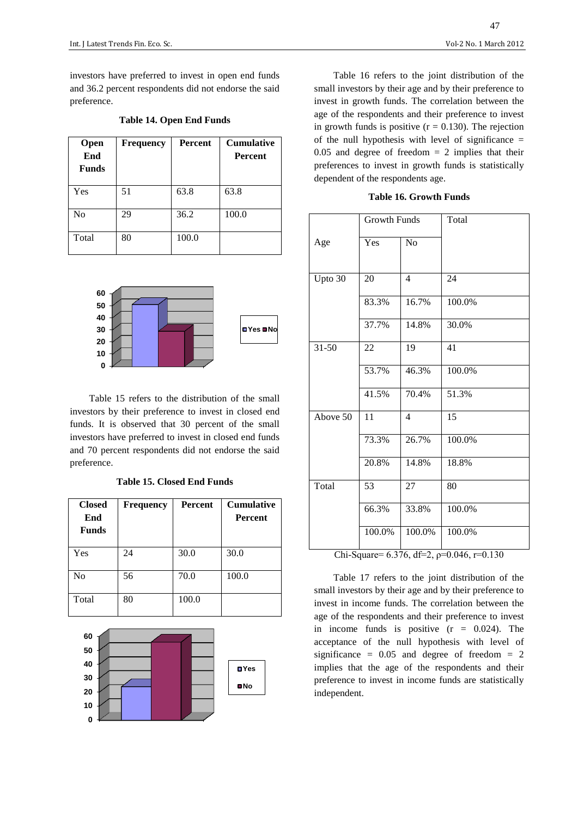investors have preferred to invest in open end funds and 36.2 percent respondents did not endorse the said preference.

| Open<br>End<br><b>Funds</b> | <b>Frequency</b> | <b>Percent</b> | <b>Cumulative</b><br><b>Percent</b> |
|-----------------------------|------------------|----------------|-------------------------------------|
| Yes                         | 51               | 63.8           | 63.8                                |
| No                          | 29               | 36.2           | 100.0                               |
| Total                       | 80               | 100.0          |                                     |

#### **Table 14. Open End Funds**



Table 15 refers to the distribution of the small investors by their preference to invest in closed end funds. It is observed that 30 percent of the small investors have preferred to invest in closed end funds and 70 percent respondents did not endorse the said preference.

**Table 15. Closed End Funds**

| <b>Closed</b><br>End<br><b>Funds</b> | <b>Frequency</b> | <b>Percent</b> | <b>Cumulative</b><br><b>Percent</b> |
|--------------------------------------|------------------|----------------|-------------------------------------|
| Yes                                  | 24               | 30.0           | 30.0                                |
| N <sub>0</sub>                       | 56               | 70.0           | 100.0                               |
| Total                                | 80               | 100.0          |                                     |



Table 16 refers to the joint distribution of the small investors by their age and by their preference to invest in growth funds. The correlation between the age of the respondents and their preference to invest in growth funds is positive  $(r = 0.130)$ . The rejection of the null hypothesis with level of significance  $=$  $0.05$  and degree of freedom  $= 2$  implies that their preferences to invest in growth funds is statistically dependent of the respondents age.

**Table 16. Growth Funds**

|           | <b>Growth Funds</b> |                | Total  |
|-----------|---------------------|----------------|--------|
| Age       | Yes                 | N <sub>o</sub> |        |
| Upto 30   | 20                  | $\overline{4}$ | 24     |
|           | 83.3%               | 16.7%          | 100.0% |
|           | 37.7%               | 14.8%          | 30.0%  |
| $31 - 50$ | 22                  | 19             | 41     |
|           | 53.7%               | 46.3%          | 100.0% |
|           | 41.5%               | 70.4%          | 51.3%  |
| Above 50  | 11                  | $\overline{4}$ | 15     |
|           | 73.3%               | 26.7%          | 100.0% |
|           | 20.8%               | 14.8%          | 18.8%  |
| Total     | 53                  | 27             | 80     |
|           | 66.3%               | 33.8%          | 100.0% |
|           | 100.0%              | 100.0%         | 100.0% |

Chi-Square=  $6.376$ , df=2,  $p=0.046$ , r=0.130

Table 17 refers to the joint distribution of the small investors by their age and by their preference to invest in income funds. The correlation between the age of the respondents and their preference to invest in income funds is positive  $(r = 0.024)$ . The acceptance of the null hypothesis with level of significance =  $0.05$  and degree of freedom = 2 implies that the age of the respondents and their preference to invest in income funds are statistically independent.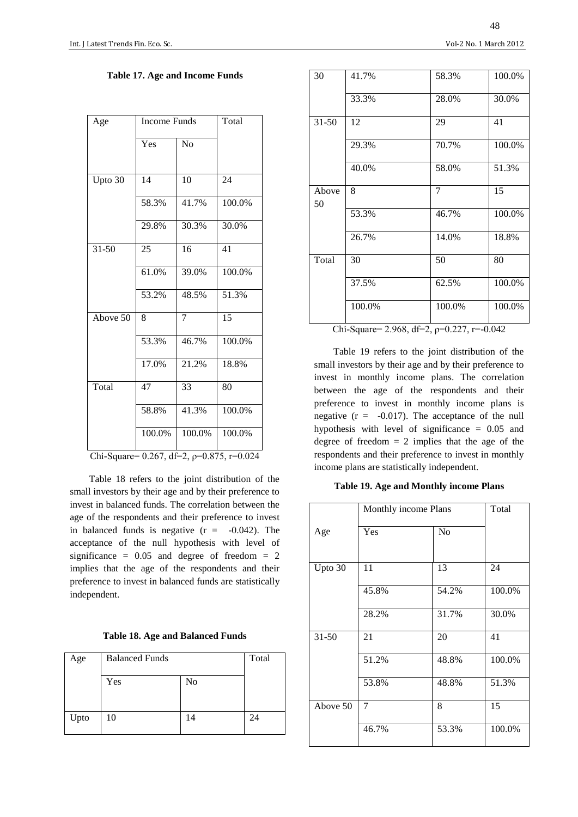48

| Age       | <b>Income Funds</b> |                | Total  |
|-----------|---------------------|----------------|--------|
|           | Yes                 | N <sub>o</sub> |        |
| Upto 30   | 14                  | 10             | 24     |
|           | 58.3%               | 41.7%          | 100.0% |
|           | 29.8%               | 30.3%          | 30.0%  |
| $31 - 50$ | 25                  | 16             | 41     |
|           | 61.0%               | 39.0%          | 100.0% |
|           | 53.2%               | 48.5%          | 51.3%  |
| Above 50  | 8                   | 7              | 15     |
|           | 53.3%               | 46.7%          | 100.0% |
|           | 17.0%               | 21.2%          | 18.8%  |
| Total     | 47                  | 33             | 80     |
|           | 58.8%               | 41.3%          | 100.0% |
|           | 100.0%<br>$\sim$    | 100.0%         | 100.0% |

Chi-Square=  $0.267$ , df=2,  $\rho$ = $0.875$ , r= $0.024$ 

Table 18 refers to the joint distribution of the small investors by their age and by their preference to invest in balanced funds. The correlation between the age of the respondents and their preference to invest in balanced funds is negative  $(r = -0.042)$ . The acceptance of the null hypothesis with level of significance =  $0.05$  and degree of freedom = 2 implies that the age of the respondents and their preference to invest in balanced funds are statistically independent.

|  |  | <b>Table 18. Age and Balanced Funds</b> |  |
|--|--|-----------------------------------------|--|
|--|--|-----------------------------------------|--|

| Age  | <b>Balanced Funds</b> |                | Total |
|------|-----------------------|----------------|-------|
|      | Yes                   | N <sub>o</sub> |       |
| Upto | 10                    | 14             | 24    |

| 30                                            | 41.7%  | 58.3%  | 100.0% |  |  |
|-----------------------------------------------|--------|--------|--------|--|--|
|                                               | 33.3%  | 28.0%  | 30.0%  |  |  |
| $31 - 50$                                     | 12     | 29     | 41     |  |  |
|                                               | 29.3%  | 70.7%  | 100.0% |  |  |
|                                               | 40.0%  | 58.0%  | 51.3%  |  |  |
| Above<br>50                                   | 8      | 7      | 15     |  |  |
|                                               | 53.3%  | 46.7%  | 100.0% |  |  |
|                                               | 26.7%  | 14.0%  | 18.8%  |  |  |
| Total                                         | 30     | 50     | 80     |  |  |
|                                               | 37.5%  | 62.5%  | 100.0% |  |  |
|                                               | 100.0% | 100.0% | 100.0% |  |  |
| Chi-Square= 2.968, df=2, $p=0.227$ , r=-0.042 |        |        |        |  |  |

Table 19 refers to the joint distribution of the small investors by their age and by their preference to invest in monthly income plans. The correlation between the age of the respondents and their preference to invest in monthly income plans is negative  $(r = -0.017)$ . The acceptance of the null hypothesis with level of significance = 0.05 and degree of freedom  $= 2$  implies that the age of the respondents and their preference to invest in monthly income plans are statistically independent.

#### **Table 19. Age and Monthly income Plans**

|           | Monthly income Plans |                | Total  |
|-----------|----------------------|----------------|--------|
| Age       | Yes                  | N <sub>0</sub> |        |
| Upto 30   | 11                   | 13             | 24     |
|           | 45.8%                | 54.2%          | 100.0% |
|           | 28.2%                | 31.7%          | 30.0%  |
| $31 - 50$ | 21                   | 20             | 41     |
|           | 51.2%                | 48.8%          | 100.0% |
|           | 53.8%                | 48.8%          | 51.3%  |
| Above 50  | 7                    | 8              | 15     |
|           | 46.7%                | 53.3%          | 100.0% |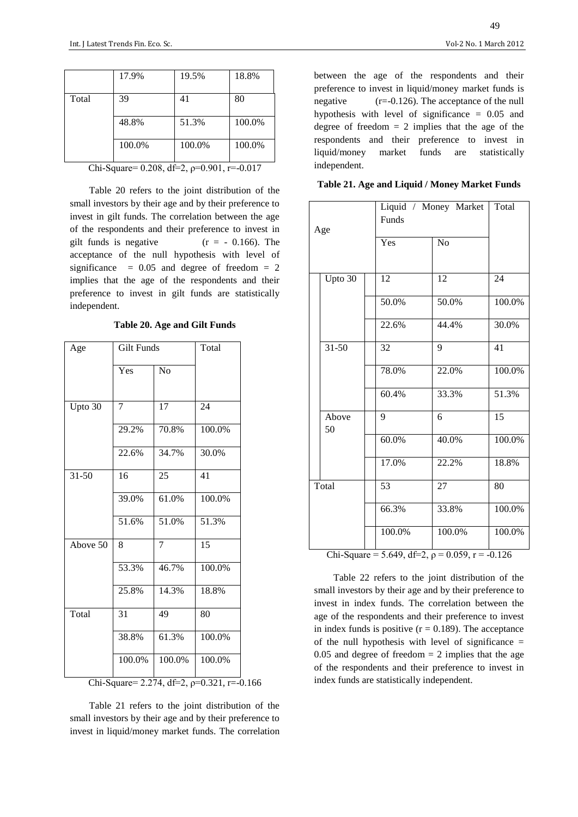|       | 17.9%  | 19.5%  | 18.8%  |
|-------|--------|--------|--------|
| Total | 39     | 41     | 80     |
|       | 48.8%  | 51.3%  | 100.0% |
|       | 100.0% | 100.0% | 100.0% |

Chi-Square=  $0.208$ , df=2,  $\rho$ = $0.901$ , r= $-0.017$ 

Table 20 refers to the joint distribution of the small investors by their age and by their preference to invest in gilt funds. The correlation between the age of the respondents and their preference to invest in gilt funds is negative  $(r = -0.166)$ . The acceptance of the null hypothesis with level of significance  $= 0.05$  and degree of freedom  $= 2$ implies that the age of the respondents and their preference to invest in gilt funds are statistically independent.

**Table 20. Age and Gilt Funds**

| Age       | <b>Gilt Funds</b> | Total          |        |
|-----------|-------------------|----------------|--------|
|           | Yes               | N <sub>o</sub> |        |
| Upto 30   | 7                 | 17             | 24     |
|           | 29.2%             | 70.8%          | 100.0% |
|           | 22.6%             | 34.7%          | 30.0%  |
| $31 - 50$ | 16                | 25             | 41     |
|           | 39.0%             | 61.0%          | 100.0% |
|           | 51.6%             | 51.0%          | 51.3%  |
| Above 50  | 8                 | 7              | 15     |
|           | 53.3%             | 46.7%          | 100.0% |
|           | 25.8%             | 14.3%          | 18.8%  |
| Total     | 31                | 49             | 80     |
|           | 38.8%             | 61.3%          | 100.0% |
|           | 100.0%            | 100.0%         | 100.0% |

Chi-Square= 2.274, df=2,  $p=0.321$ , r=-0.166

Table 21 refers to the joint distribution of the small investors by their age and by their preference to invest in liquid/money market funds. The correlation between the age of the respondents and their preference to invest in liquid/money market funds is negative (r=-0.126). The acceptance of the null hypothesis with level of significance  $= 0.05$  and degree of freedom  $= 2$  implies that the age of the respondents and their preference to invest in liquid/money market funds are statistically independent.

| Table 21. Age and Liquid / Money Market Funds |  |
|-----------------------------------------------|--|
|-----------------------------------------------|--|

| Age   |               | Liquid / Money Market<br>Funds                                      | Total          |        |
|-------|---------------|---------------------------------------------------------------------|----------------|--------|
|       |               | Yes                                                                 | N <sub>o</sub> |        |
|       | Upto 30       | 12                                                                  | 12             | 24     |
|       |               | 50.0%                                                               | 50.0%          | 100.0% |
|       |               | 22.6%                                                               | 44.4%          | 30.0%  |
|       | $31 - 50$     | 32                                                                  | 9              | 41     |
|       |               | 78.0%                                                               | 22.0%          | 100.0% |
|       |               | 60.4%                                                               | 33.3%          | 51.3%  |
|       | Above<br>50   | 9                                                                   | 6              | 15     |
|       |               | 60.0%                                                               | 40.0%          | 100.0% |
|       |               | 17.0%                                                               | 22.2%          | 18.8%  |
| Total |               | 53                                                                  | 27             | 80     |
|       |               | 66.3%                                                               | 33.8%          | 100.0% |
|       | $\sim$ $\sim$ | 100.0%<br>$\epsilon$ $\epsilon$ $\theta$ $\theta$ $\theta$ $\theta$ | 100.0%         | 100.0% |

Chi-Square = 5.649, df=2,  $\rho = 0.059$ , r = -0.126

Table 22 refers to the joint distribution of the small investors by their age and by their preference to invest in index funds. The correlation between the age of the respondents and their preference to invest in index funds is positive  $(r = 0.189)$ . The acceptance of the null hypothesis with level of significance  $=$  $0.05$  and degree of freedom  $= 2$  implies that the age of the respondents and their preference to invest in index funds are statistically independent.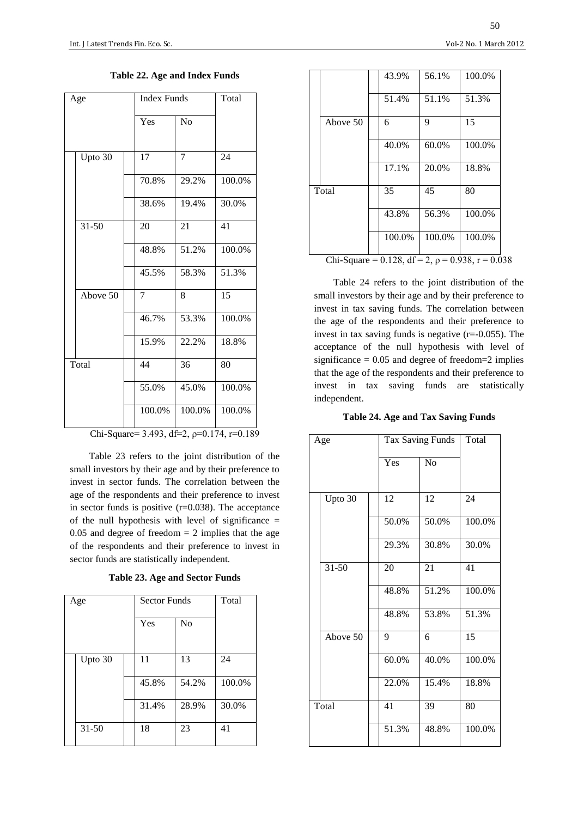| Age |           | <b>Index Funds</b> |                | Total  |  |  |
|-----|-----------|--------------------|----------------|--------|--|--|
|     |           | Yes                | No             |        |  |  |
|     | Upto 30   | 17                 | $\overline{7}$ | 24     |  |  |
|     |           | 70.8%              | 29.2%          | 100.0% |  |  |
|     |           | 38.6%              | 19.4%          | 30.0%  |  |  |
|     | $31 - 50$ | 20                 | 21             | 41     |  |  |
|     |           | 48.8%              | 51.2%          | 100.0% |  |  |
|     |           | 45.5%              | 58.3%          | 51.3%  |  |  |
|     | Above 50  | 7                  | 8              | 15     |  |  |
|     |           | 46.7%              | 53.3%          | 100.0% |  |  |
|     |           | 15.9%              | 22.2%          | 18.8%  |  |  |
|     | Total     | 44                 | 36             | 80     |  |  |
|     |           | 55.0%              | 45.0%          | 100.0% |  |  |
|     |           | 100.0%             | 100.0%         | 100.0% |  |  |

**Table 22. Age and Index Funds**

Chi-Square= 3.493, df=2, ρ=0.174, r=0.189

Table 23 refers to the joint distribution of the small investors by their age and by their preference to invest in sector funds. The correlation between the age of the respondents and their preference to invest in sector funds is positive  $(r=0.038)$ . The acceptance of the null hypothesis with level of significance  $=$  $0.05$  and degree of freedom  $= 2$  implies that the age of the respondents and their preference to invest in sector funds are statistically independent.

**Table 23. Age and Sector Funds**

| Age |           | <b>Sector Funds</b> |       | Total |        |
|-----|-----------|---------------------|-------|-------|--------|
|     |           |                     | Yes   | No    |        |
|     | Upto 30   |                     | 11    | 13    | 24     |
|     |           |                     | 45.8% | 54.2% | 100.0% |
|     |           |                     | 31.4% | 28.9% | 30.0%  |
|     | $31 - 50$ |                     | 18    | 23    | 41     |

|          | 43.9%  | 56.1%  | 100.0% |
|----------|--------|--------|--------|
|          | 51.4%  | 51.1%  | 51.3%  |
| Above 50 | 6      | 9      | 15     |
|          | 40.0%  | 60.0%  | 100.0% |
|          | 17.1%  | 20.0%  | 18.8%  |
| Total    | 35     | 45     | 80     |
|          | 43.8%  | 56.3%  | 100.0% |
|          | 100.0% | 100.0% | 100.0% |

Chi-Square = 0.128, df = 2,  $\rho$  = 0.938, r = 0.038

Table 24 refers to the joint distribution of the small investors by their age and by their preference to invest in tax saving funds. The correlation between the age of the respondents and their preference to invest in tax saving funds is negative  $(r=-0.055)$ . The acceptance of the null hypothesis with level of significance  $= 0.05$  and degree of freedom=2 implies that the age of the respondents and their preference to invest in tax saving funds are statistically independent.

**Table 24. Age and Tax Saving Funds**

| Age |           |  | <b>Tax Saving Funds</b> | Total |        |
|-----|-----------|--|-------------------------|-------|--------|
|     |           |  | Yes                     | No    |        |
|     |           |  |                         |       |        |
|     | Upto 30   |  | 12                      | 12    | 24     |
|     |           |  | 50.0%                   | 50.0% | 100.0% |
|     |           |  | 29.3%                   | 30.8% | 30.0%  |
|     | $31 - 50$ |  | 20                      | 21    | 41     |
|     |           |  | 48.8%                   | 51.2% | 100.0% |
|     |           |  | 48.8%                   | 53.8% | 51.3%  |
|     | Above 50  |  | 9                       | 6     | 15     |
|     |           |  | 60.0%                   | 40.0% | 100.0% |
|     |           |  | 22.0%                   | 15.4% | 18.8%  |
|     | Total     |  | 41                      | 39    | 80     |
|     |           |  | 51.3%                   | 48.8% | 100.0% |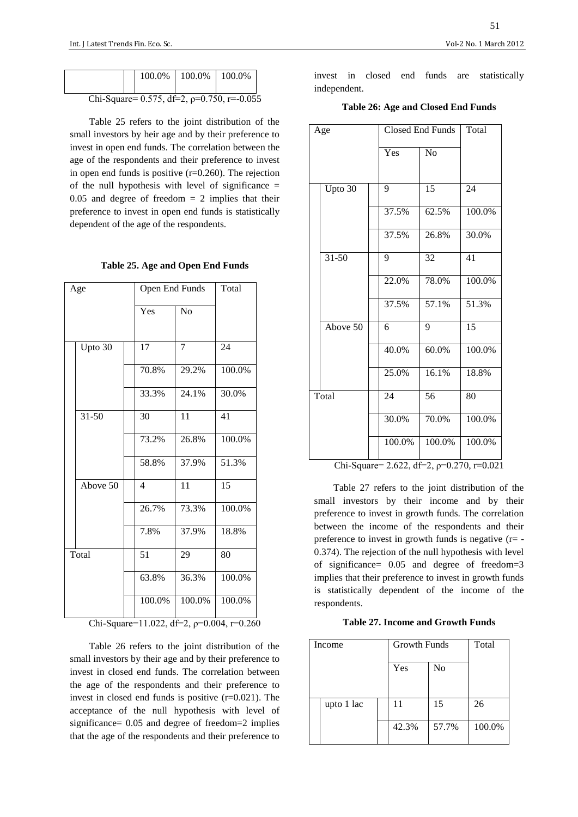|  |                                               | $100.0\%$   100.0%   100.0% |  |
|--|-----------------------------------------------|-----------------------------|--|
|  | Chi-Square= 0.575, df=2, $p=0.750$ , r=-0.055 |                             |  |

Table 25 refers to the joint distribution of the small investors by heir age and by their preference to invest in open end funds. The correlation between the age of the respondents and their preference to invest in open end funds is positive  $(r=0.260)$ . The rejection of the null hypothesis with level of significance  $=$  $0.05$  and degree of freedom  $= 2$  implies that their preference to invest in open end funds is statistically dependent of the age of the respondents.

| Age |           |                | Total<br>Open End Funds |        |
|-----|-----------|----------------|-------------------------|--------|
|     |           | Yes            | N <sub>o</sub>          |        |
|     | Upto 30   | 17             | $\overline{7}$          | 24     |
|     |           | 70.8%          | 29.2%                   | 100.0% |
|     |           | 33.3%          | 24.1%                   | 30.0%  |
|     | $31 - 50$ | 30             | 11                      | 41     |
|     |           | 73.2%          | 26.8%                   | 100.0% |
|     |           | 58.8%          | 37.9%                   | 51.3%  |
|     | Above 50  | $\overline{4}$ | 11                      | 15     |
|     |           | 26.7%          | 73.3%                   | 100.0% |
|     |           | 7.8%           | 37.9%                   | 18.8%  |
|     | Total     | 51             | 29                      | 80     |
|     |           | 63.8%          | 36.3%                   | 100.0% |
|     |           | 100.0%         | 100.0%                  | 100.0% |

Chi-Square=11.022, df=2, ρ=0.004, r=0.260

Table 26 refers to the joint distribution of the small investors by their age and by their preference to invest in closed end funds. The correlation between the age of the respondents and their preference to invest in closed end funds is positive (r=0.021). The acceptance of the null hypothesis with level of significance= 0.05 and degree of freedom=2 implies that the age of the respondents and their preference to

invest in closed end funds are statistically independent.

**Table 26: Age and Closed End Funds**

| Age |                                           |        | Closed End Funds |        |  |  |
|-----|-------------------------------------------|--------|------------------|--------|--|--|
|     |                                           | Yes    | No               |        |  |  |
|     | Upto 30                                   | 9      | 15               | 24     |  |  |
|     |                                           | 37.5%  | 62.5%            | 100.0% |  |  |
|     |                                           | 37.5%  | 26.8%            | 30.0%  |  |  |
|     | $31 - 50$                                 | 9      | 32               | 41     |  |  |
|     |                                           | 22.0%  | 78.0%            | 100.0% |  |  |
|     |                                           | 37.5%  | 57.1%            | 51.3%  |  |  |
|     | Above 50                                  | 6      | 9                | 15     |  |  |
|     |                                           | 40.0%  | 60.0%            | 100.0% |  |  |
|     |                                           | 25.0%  | 16.1%            | 18.8%  |  |  |
|     | Total                                     | 24     | 56               | 80     |  |  |
|     |                                           | 30.0%  | 70.0%            | 100.0% |  |  |
|     |                                           | 100.0% | 100.0%           | 100.0% |  |  |
|     | Chi-Square= 2.622, df=2, p=0.270, r=0.021 |        |                  |        |  |  |

Table 27 refers to the joint distribution of the small investors by their income and by their preference to invest in growth funds. The correlation between the income of the respondents and their preference to invest in growth funds is negative  $(r= -$ 0.374). The rejection of the null hypothesis with level of significance= 0.05 and degree of freedom=3 implies that their preference to invest in growth funds is statistically dependent of the income of the respondents.

**Table 27. Income and Growth Funds**

| Income     |  | <b>Growth Funds</b> |                | Total  |
|------------|--|---------------------|----------------|--------|
|            |  | Yes                 | N <sub>0</sub> |        |
| upto 1 lac |  | 11                  | 15             | 26     |
|            |  | 42.3%               | 57.7%          | 100.0% |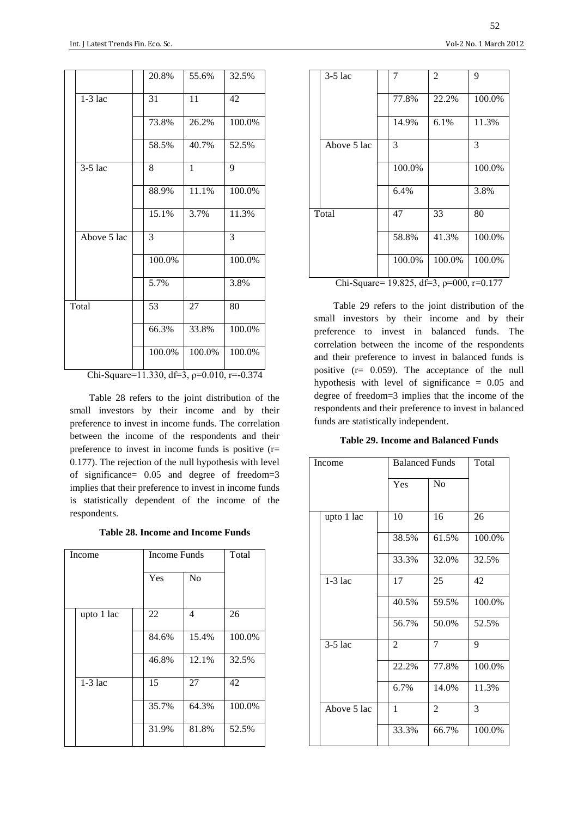|                                              |             |  | 20.8%  | 55.6%        | 32.5%  |
|----------------------------------------------|-------------|--|--------|--------------|--------|
|                                              | $1-3$ lac   |  | 31     | 11           | 42     |
|                                              |             |  | 73.8%  | 26.2%        | 100.0% |
|                                              |             |  | 58.5%  | 40.7%        | 52.5%  |
|                                              | $3-5$ lac   |  | 8      | $\mathbf{1}$ | 9      |
|                                              |             |  | 88.9%  | 11.1%        | 100.0% |
|                                              |             |  | 15.1%  | 3.7%         | 11.3%  |
|                                              | Above 5 lac |  | 3      |              | 3      |
|                                              |             |  | 100.0% |              | 100.0% |
|                                              |             |  | 5.7%   |              | 3.8%   |
|                                              | Total       |  | 53     | 27           | 80     |
|                                              |             |  | 66.3%  | 33.8%        | 100.0% |
|                                              |             |  | 100.0% | 100.0%       | 100.0% |
| Chi Squaro-11.220 $4f-2$ a-0.010 $r = 0.274$ |             |  |        |              |        |

Chi-Square=11.330, df=3,  $p=0.010$ , r=-0.374

Table 28 refers to the joint distribution of the small investors by their income and by their preference to invest in income funds. The correlation between the income of the respondents and their preference to invest in income funds is positive (r= 0.177). The rejection of the null hypothesis with level of significance= 0.05 and degree of freedom=3 implies that their preference to invest in income funds is statistically dependent of the income of the respondents.

**Table 28. Income and Income Funds**

| Income     |  | <b>Income Funds</b> |                | Total  |
|------------|--|---------------------|----------------|--------|
|            |  | Yes                 | N <sub>o</sub> |        |
| upto 1 lac |  | 22                  | 4              | 26     |
|            |  | 84.6%               | 15.4%          | 100.0% |
|            |  | 46.8%               | 12.1%          | 32.5%  |
| $1-3$ lac  |  | 15                  | 27             | 42     |
|            |  | 35.7%               | 64.3%          | 100.0% |
|            |  | 31.9%               | 81.8%          | 52.5%  |

|                                                            | $3-5$ lac   |  | 7      | $\overline{2}$ | 9      |
|------------------------------------------------------------|-------------|--|--------|----------------|--------|
|                                                            |             |  | 77.8%  | 22.2%          | 100.0% |
|                                                            |             |  | 14.9%  | 6.1%           | 11.3%  |
|                                                            | Above 5 lac |  | 3      |                | 3      |
|                                                            |             |  | 100.0% |                | 100.0% |
|                                                            |             |  | 6.4%   |                | 3.8%   |
|                                                            | Total       |  | 47     | 33             | 80     |
|                                                            |             |  | 58.8%  | 41.3%          | 100.0% |
|                                                            |             |  | 100.0% | 100.0%         | 100.0% |
| $10.025$ $10.2$ $-$<br>$\alpha$ $\alpha$<br>$0.00 - 0.177$ |             |  |        |                |        |

Chi-Square= 19.825, df=3, ρ=000, r=0.177

Table 29 refers to the joint distribution of the small investors by their income and by their preference to invest in balanced funds. The correlation between the income of the respondents and their preference to invest in balanced funds is positive (r= 0.059). The acceptance of the null hypothesis with level of significance = 0.05 and degree of freedom=3 implies that the income of the respondents and their preference to invest in balanced funds are statistically independent.

**Table 29. Income and Balanced Funds**

| Income      |  | <b>Balanced Funds</b> |                | Total  |
|-------------|--|-----------------------|----------------|--------|
|             |  | Yes                   | N <sub>0</sub> |        |
| upto 1 lac  |  | 10                    | 16             | 26     |
|             |  | 38.5%                 | 61.5%          | 100.0% |
|             |  | 33.3%                 | 32.0%          | 32.5%  |
| $1-3$ lac   |  | 17                    | 25             | 42     |
|             |  | 40.5%                 | 59.5%          | 100.0% |
|             |  | 56.7%                 | 50.0%          | 52.5%  |
| $3-5$ lac   |  | $\overline{c}$        | $\overline{7}$ | 9      |
|             |  | 22.2%                 | 77.8%          | 100.0% |
|             |  | 6.7%                  | 14.0%          | 11.3%  |
| Above 5 lac |  | $\mathbf{1}$          | $\overline{2}$ | 3      |
|             |  | 33.3%                 | 66.7%          | 100.0% |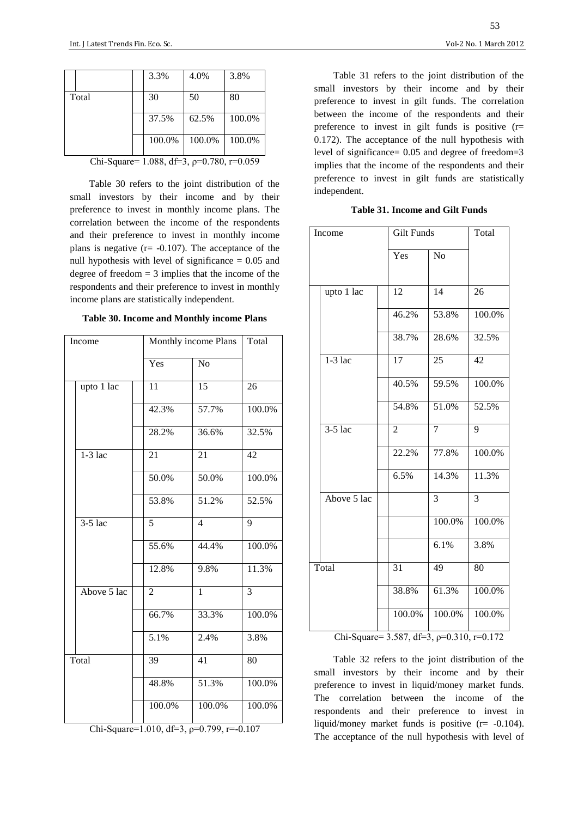|       | 3.3%   | 4.0%   | 3.8%   |
|-------|--------|--------|--------|
| Total | 30     | 50     | 80     |
|       | 37.5%  | 62.5%  | 100.0% |
|       | 100.0% | 100.0% | 100.0% |

Chi-Square= 1.088, df=3, ρ=0.780, r=0.059

Table 30 refers to the joint distribution of the small investors by their income and by their preference to invest in monthly income plans. The correlation between the income of the respondents and their preference to invest in monthly income plans is negative  $(r= -0.107)$ . The acceptance of the null hypothesis with level of significance  $= 0.05$  and degree of freedom = 3 implies that the income of the respondents and their preference to invest in monthly income plans are statistically independent.

| <b>Table 30. Income and Monthly income Plans</b> |  |  |  |
|--------------------------------------------------|--|--|--|
|                                                  |  |  |  |

| Income      |                | Monthly income Plans | Total          |  |  |
|-------------|----------------|----------------------|----------------|--|--|
|             | Yes            | $\overline{No}$      |                |  |  |
| upto 1 lac  | 11             | 15                   | 26             |  |  |
|             | 42.3%          | 57.7%                | 100.0%         |  |  |
|             | 28.2%          | 36.6%                | 32.5%          |  |  |
| $1-3$ lac   | 21             | 21                   | 42             |  |  |
|             | 50.0%          | 50.0%                | 100.0%         |  |  |
|             | 53.8%          | 51.2%                | 52.5%          |  |  |
| $3-5$ lac   | $\overline{5}$ | $\overline{4}$       | 9              |  |  |
|             | 55.6%          | 44.4%                | 100.0%         |  |  |
|             | 12.8%          | 9.8%                 | 11.3%          |  |  |
| Above 5 lac | $\overline{2}$ | $\mathbf{1}$         | $\overline{3}$ |  |  |
|             | 66.7%          | 33.3%                | 100.0%         |  |  |
|             | 5.1%           | 2.4%                 | 3.8%           |  |  |
| Total       | 39             | 41                   | 80             |  |  |
|             | 48.8%          | 51.3%                | 100.0%         |  |  |
|             | 100.0%         | 100.0%               | 100.0%         |  |  |

Chi-Square=1.010, df=3,  $p=0.799$ , r=-0.107

Table 31 refers to the joint distribution of the small investors by their income and by their preference to invest in gilt funds. The correlation between the income of the respondents and their preference to invest in gilt funds is positive (r= 0.172). The acceptance of the null hypothesis with level of significance= 0.05 and degree of freedom=3 implies that the income of the respondents and their preference to invest in gilt funds are statistically independent.

**Table 31. Income and Gilt Funds**

| Income |             |                 | <b>Gilt Funds</b> |                 |
|--------|-------------|-----------------|-------------------|-----------------|
|        |             | Yes             | N <sub>o</sub>    |                 |
|        | upto 1 lac  | 12              | $\overline{14}$   | 26              |
|        |             | 46.2%           | 53.8%             | 100.0%          |
|        |             | 38.7%           | 28.6%             | 32.5%           |
|        | $1-3$ lac   | $\overline{17}$ | 25                | $\overline{42}$ |
|        |             | 40.5%           | 59.5%             | 100.0%          |
|        |             | 54.8%           | 51.0%             | 52.5%           |
|        | $3-5$ lac   | $\overline{2}$  | $\overline{7}$    | $\overline{9}$  |
|        |             | 22.2%           | 77.8%             | 100.0%          |
|        |             | 6.5%            | 14.3%             | 11.3%           |
|        | Above 5 lac |                 | 3                 | 3               |
|        |             |                 | 100.0%            | 100.0%          |
|        |             |                 | 6.1%              | 3.8%            |
|        | Total       | 31              | 49                | 80              |
|        |             | 38.8%           | 61.3%             | 100.0%          |
|        | <b></b>     | 100.0%          | 100.0%            | 100.0%          |

Chi-Square= 3.587, df=3,  $p=0.310$ , r=0.172

Table 32 refers to the joint distribution of the small investors by their income and by their preference to invest in liquid/money market funds. The correlation between the income of the respondents and their preference to invest in liquid/money market funds is positive (r= -0.104). The acceptance of the null hypothesis with level of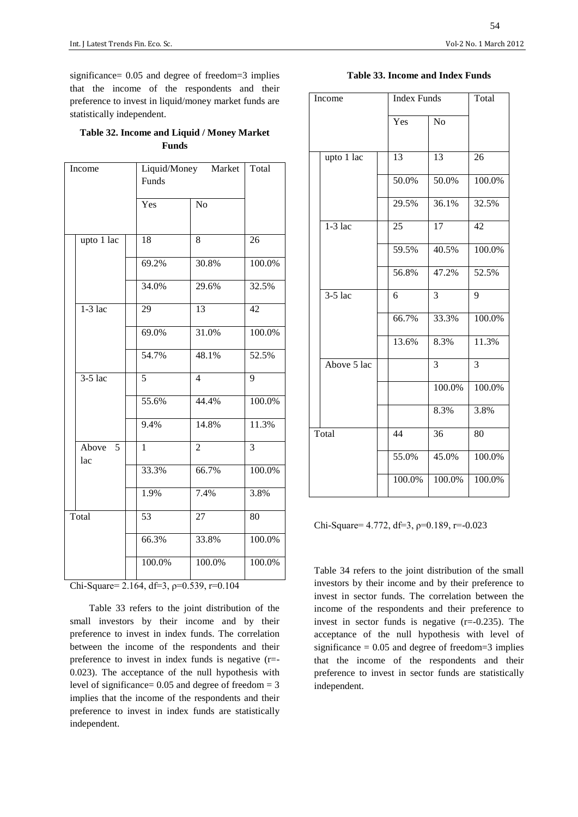significance= 0.05 and degree of freedom=3 implies that the income of the respondents and their preference to invest in liquid/money market funds are statistically independent.

| Table 32. Income and Liquid / Money Market |
|--------------------------------------------|
| <b>Funds</b>                               |

| Income |                | Funds          | Liquid/Money Market |                |  |
|--------|----------------|----------------|---------------------|----------------|--|
|        |                | Yes            | N <sub>o</sub>      |                |  |
|        | upto 1 lac     | 18             | 8                   | 26             |  |
|        |                | 69.2%          | 30.8%               | 100.0%         |  |
|        |                | 34.0%          | 29.6%               | 32.5%          |  |
|        | $1-3$ lac      | 29             | 13                  | 42             |  |
|        |                | 69.0%          | 31.0%               | 100.0%         |  |
|        |                | 54.7%          | 48.1%               | 52.5%          |  |
|        | $3-5$ lac      | $\overline{5}$ | $\overline{4}$      | 9              |  |
|        |                | 55.6%          | 44.4%               | 100.0%         |  |
|        |                | 9.4%           | 14.8%               | 11.3%          |  |
|        | Above 5<br>lac | $\mathbf{1}$   | $\overline{2}$      | $\overline{3}$ |  |
|        |                | 33.3%          | 66.7%               | 100.0%         |  |
|        |                | 1.9%           | 7.4%                | 3.8%           |  |
| Total  |                | 53             | 27                  | 80             |  |
|        |                | 66.3%          | 33.8%               | 100.0%         |  |
|        |                | 100.0%         | 100.0%              | 100.0%         |  |
|        |                |                |                     |                |  |

Chi-Square= 2.164, df=3, ρ=0.539, r=0.104

Table 33 refers to the joint distribution of the small investors by their income and by their preference to invest in index funds. The correlation between the income of the respondents and their preference to invest in index funds is negative (r=- 0.023). The acceptance of the null hypothesis with level of significance=  $0.05$  and degree of freedom = 3 implies that the income of the respondents and their preference to invest in index funds are statistically independent.

## **Table 33. Income and Index Funds**

| Income |             | <b>Index Funds</b> |                | Total          |
|--------|-------------|--------------------|----------------|----------------|
|        |             |                    |                |                |
|        |             | Yes                | N <sub>o</sub> |                |
|        |             |                    |                |                |
|        | upto 1 lac  | 13                 | 13             | 26             |
|        |             | 50.0%              | 50.0%          | 100.0%         |
|        |             | 29.5%              | 36.1%          | 32.5%          |
|        | $1-3$ lac   | 25                 | 17             | 42             |
|        |             | 59.5%              | 40.5%          | 100.0%         |
|        |             | 56.8%              | 47.2%          | 52.5%          |
|        | $3-5$ lac   | 6                  | 3              | 9              |
|        |             | 66.7%              | 33.3%          | 100.0%         |
|        |             | 13.6%              | 8.3%           | 11.3%          |
|        | Above 5 lac |                    | 3              | $\overline{3}$ |
|        |             |                    | 100.0%         | 100.0%         |
|        |             |                    | 8.3%           | 3.8%           |
| Total  |             | 44                 | 36             | 80             |
|        |             | 55.0%              | 45.0%          | 100.0%         |
|        |             | 100.0%             | 100.0%         | 100.0%         |

Chi-Square=  $4.772$ , df=3,  $p=0.189$ , r=-0.023

Table 34 refers to the joint distribution of the small investors by their income and by their preference to invest in sector funds. The correlation between the income of the respondents and their preference to invest in sector funds is negative  $(r=-0.235)$ . The acceptance of the null hypothesis with level of significance  $= 0.05$  and degree of freedom=3 implies that the income of the respondents and their preference to invest in sector funds are statistically independent.